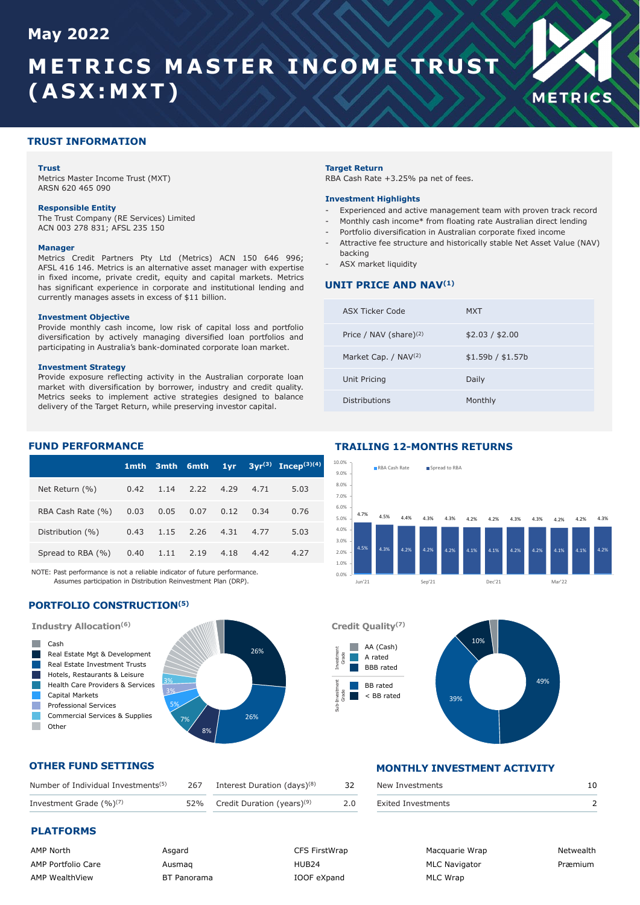## **May 2022**

## **METRICS MASTER INCOME TRUST (ASX:MXT)**



#### **TRUST INFORMATION**

#### **Trust**

Metrics Master Income Trust (MXT) ARSN 620 465 090

#### **Responsible Entity**

The Trust Company (RE Services) Limited ACN 003 278 831; AFSL 235 150

#### **Manager**

Metrics Credit Partners Pty Ltd (Metrics) ACN 150 646 996; AFSL 416 146. Metrics is an alternative asset manager with expertise in fixed income, private credit, equity and capital markets. Metrics has significant experience in corporate and institutional lending and currently manages assets in excess of \$11 billion.

#### **Investment Objective**

Provide monthly cash income, low risk of capital loss and portfolio diversification by actively managing diversified loan portfolios and participating in Australia's bank-dominated corporate loan market.

#### **Investment Strategy**

Provide exposure reflecting activity in the Australian corporate loan market with diversification by borrower, industry and credit quality. Metrics seeks to implement active strategies designed to balance delivery of the Target Return, while preserving investor capital.

#### **Target Return**

RBA Cash Rate +3.25% pa net of fees.

#### **Investment Highlights**

- Experienced and active management team with proven track record
- Monthly cash income\* from floating rate Australian direct lending
- Portfolio diversification in Australian corporate fixed income
- Attractive fee structure and historically stable Net Asset Value (NAV) backing
- ASX market liquidity

#### **UNIT PRICE AND NAV(1)**

| ASX Ticker Code           | MXT               |
|---------------------------|-------------------|
| Price / NAV (share) $(2)$ | \$2.03 / \$2.00   |
| Market Cap. / NAV(2)      | \$1.59b / \$1.57b |
| Unit Pricing              | Daily             |
| Distributions             | Monthly           |

#### **FUND PERFORMANCE**

|                        | 1mth - |      | 3mth 6mth                  | 1vr  |      | $3vr^{(3)}$ Incep <sup>(3)(4)</sup> |
|------------------------|--------|------|----------------------------|------|------|-------------------------------------|
| Net Return (%)         |        |      | $0.42$ 1.14 2.22 4.29 4.71 |      |      | 5.03                                |
| RBA Cash Rate (%) 0.03 |        | 0.05 | 0.07                       | 0.12 | 0.34 | 0.76                                |
| Distribution (%)       | 0.43   |      | 1.15 2.26 4.31 4.77        |      |      | 5.03                                |
| Spread to RBA (%)      | 0.40   | 1.11 | 2.19                       | 4.18 | 4.42 | 4.27                                |

NOTE: Past performance is not a reliable indicator of future performance. Assumes participation in Distribution Reinvestment Plan (DRP).

#### **PORTFOLIO CONSTRUCTION(5)**



#### **TRAILING 12-MONTHS RETURNS**



**Credit Quality(7)**  $\frac{2}{5}$  and  $\frac{1}{5}$  and  $\frac{1}{5}$  and  $\frac{1}{5}$  and  $\frac{1}{5}$  and  $\frac{1}{5}$  and  $\frac{1}{5}$  and  $\frac{1}{5}$  and  $\frac{1}{5}$  and  $\frac{1}{5}$  and  $\frac{1}{5}$  and  $\frac{1}{5}$  and  $\frac{1}{5}$  and  $\frac{1}{5}$  and  $\frac{1}{5}$  and  $\frac{1}{5}$  a 39% 10% AA (Cash) A rated BBB rated BB rated < BB rated Grade nvest<br>Grade

## **OTHER FUND SETTINGS**

| Number of Individual Investments <sup>(5)</sup> | 267 Interest Duration (days) <sup>(8)</sup> | 32  | New Investments    |  |
|-------------------------------------------------|---------------------------------------------|-----|--------------------|--|
| Investment Grade $(\%)^{(7)}$                   | 52% Credit Duration (years) <sup>(9)</sup>  | 2.0 | Exited Investments |  |

### **PLATFORMS**

 $\mathcal{L}_{\mathcal{A}}$ ٦ Ξ T.

**College** 

| <b>AMP North</b>          |
|---------------------------|
| <b>AMP Portfolio Care</b> |
| <b>AMP WealthView</b>     |

Asgard Ausmaq BT Panorama

CFS FirstWrap HUR<sub>24</sub> IOOF eXpand

Investment

Sub-Investment

## **MONTHLY INVESTMENT ACTIVITY**

| New Investments    |  |
|--------------------|--|
| Exited Investments |  |

Macquarie Wrap MLC Navigator MLC Wrap

Netwealth Præmium